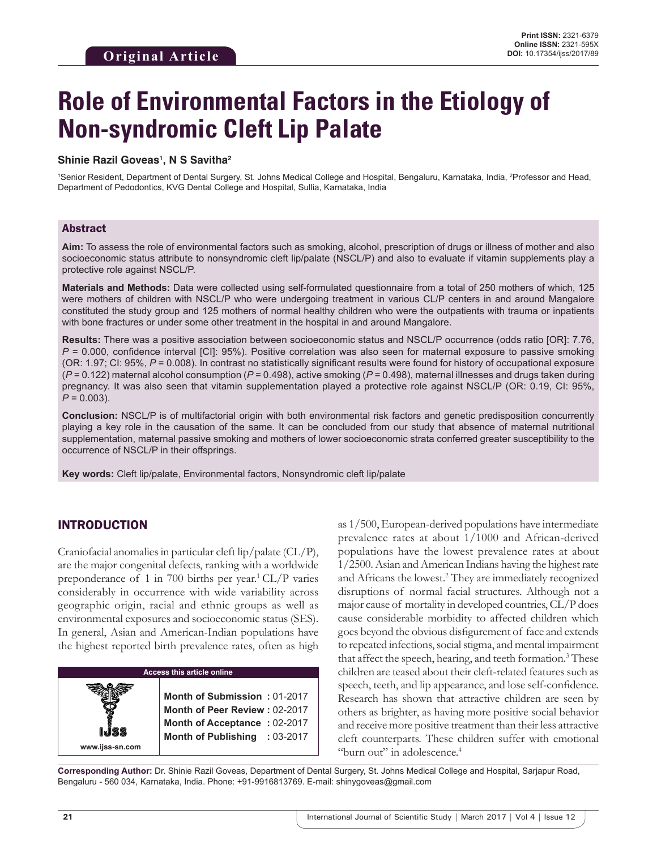# **Role of Environmental Factors in the Etiology of Non-syndromic Cleft Lip Palate**

#### **Shinie Razil Goveas1 , N S Savitha2**

1 Senior Resident, Department of Dental Surgery, St. Johns Medical College and Hospital, Bengaluru, Karnataka, India, <sup>2</sup> Professor and Head, Department of Pedodontics, KVG Dental College and Hospital, Sullia, Karnataka, India

#### Abstract

**Aim:** To assess the role of environmental factors such as smoking, alcohol, prescription of drugs or illness of mother and also socioeconomic status attribute to nonsyndromic cleft lip/palate (NSCL/P) and also to evaluate if vitamin supplements play a protective role against NSCL/P.

**Materials and Methods:** Data were collected using self-formulated questionnaire from a total of 250 mothers of which, 125 were mothers of children with NSCL/P who were undergoing treatment in various CL/P centers in and around Mangalore constituted the study group and 125 mothers of normal healthy children who were the outpatients with trauma or inpatients with bone fractures or under some other treatment in the hospital in and around Mangalore.

**Results:** There was a positive association between socioeconomic status and NSCL/P occurrence (odds ratio [OR]: 7.76, *P* = 0.000, confidence interval [CI]: 95%). Positive correlation was also seen for maternal exposure to passive smoking (OR: 1.97; CI: 95%, *P* = 0.008). In contrast no statistically significant results were found for history of occupational exposure (*P* = 0.122) maternal alcohol consumption (*P* = 0.498), active smoking (*P* = 0.498), maternal illnesses and drugs taken during pregnancy. It was also seen that vitamin supplementation played a protective role against NSCL/P (OR: 0.19, CI: 95%, *P =* 0.003).

**Conclusion:** NSCL/P is of multifactorial origin with both environmental risk factors and genetic predisposition concurrently playing a key role in the causation of the same. It can be concluded from our study that absence of maternal nutritional supplementation, maternal passive smoking and mothers of lower socioeconomic strata conferred greater susceptibility to the occurrence of NSCL/P in their offsprings.

**Key words:** Cleft lip/palate, Environmental factors, Nonsyndromic cleft lip/palate

## INTRODUCTION

Craniofacial anomalies in particular cleft lip/palate (CL/P), are the major congenital defects, ranking with a worldwide preponderance of 1 in 700 births per year.<sup>1</sup> CL/P varies considerably in occurrence with wide variability across geographic origin, racial and ethnic groups as well as environmental exposures and socioeconomic status (SES). In general, Asian and American-Indian populations have the highest reported birth prevalence rates, often as high

| <b>Access this article online</b> |                                                                                                                                |  |  |
|-----------------------------------|--------------------------------------------------------------------------------------------------------------------------------|--|--|
| www.ijss-sn.com                   | Month of Submission: 01-2017<br>Month of Peer Review: 02-2017<br>Month of Acceptance: 02-2017<br>Month of Publishing : 03-2017 |  |  |

as 1/500, European-derived populations have intermediate prevalence rates at about 1/1000 and African-derived populations have the lowest prevalence rates at about 1/2500. Asian and American Indians having the highest rate and Africans the lowest.2 They are immediately recognized disruptions of normal facial structures. Although not a major cause of mortality in developed countries, CL/P does cause considerable morbidity to affected children which goes beyond the obvious disfigurement of face and extends to repeated infections, social stigma, and mental impairment that affect the speech, hearing, and teeth formation.<sup>3</sup> These children are teased about their cleft-related features such as speech, teeth, and lip appearance, and lose self-confidence. Research has shown that attractive children are seen by others as brighter, as having more positive social behavior and receive more positive treatment than their less attractive cleft counterparts. These children suffer with emotional "burn out" in adolescence.<sup>4</sup>

**Corresponding Author:** Dr. Shinie Razil Goveas, Department of Dental Surgery, St. Johns Medical College and Hospital, Sarjapur Road, Bengaluru - 560 034, Karnataka, India. Phone: +91-9916813769. E-mail: shinygoveas@gmail.com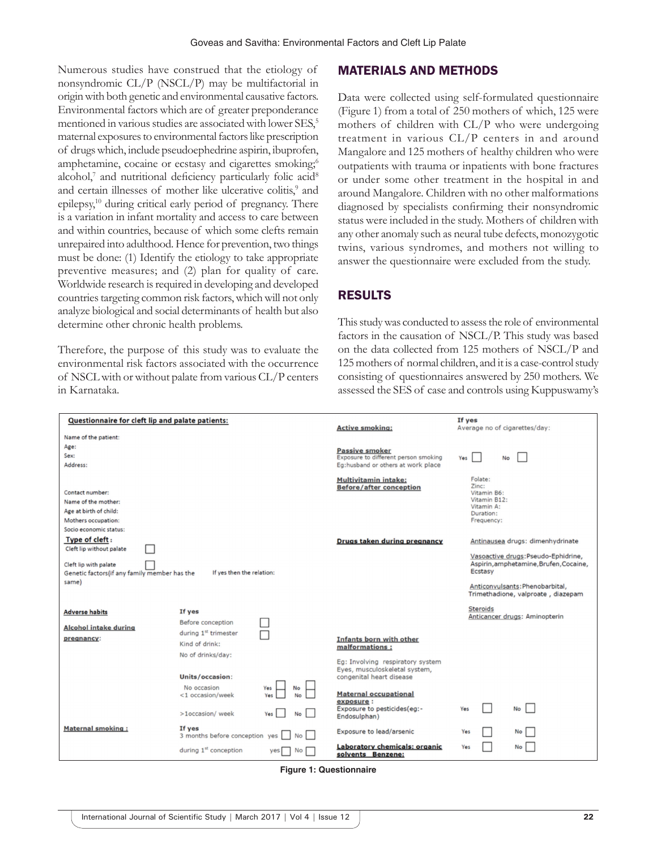Numerous studies have construed that the etiology of nonsyndromic CL/P (NSCL/P) may be multifactorial in origin with both genetic and environmental causative factors. Environmental factors which are of greater preponderance mentioned in various studies are associated with lower SES,<sup>5</sup> maternal exposures to environmental factors like prescription of drugs which, include pseudoephedrine aspirin, ibuprofen, amphetamine, cocaine or ecstasy and cigarettes smoking;<sup>6</sup> alcohol, $^7$  and nutritional deficiency particularly folic acid<sup>8</sup> and certain illnesses of mother like ulcerative colitis,<sup>9</sup> and epilepsy,<sup>10</sup> during critical early period of pregnancy. There is a variation in infant mortality and access to care between and within countries, because of which some clefts remain unrepaired into adulthood. Hence for prevention, two things must be done: (1) Identify the etiology to take appropriate preventive measures; and (2) plan for quality of care. Worldwide research is required in developing and developed countries targeting common risk factors, which will not only analyze biological and social determinants of health but also determine other chronic health problems.

Therefore, the purpose of this study was to evaluate the environmental risk factors associated with the occurrence of NSCL with or without palate from various CL/P centers in Karnataka.

#### MATERIALS AND METHODS

Data were collected using self-formulated questionnaire (Figure 1) from a total of 250 mothers of which, 125 were mothers of children with CL/P who were undergoing treatment in various CL/P centers in and around Mangalore and 125 mothers of healthy children who were outpatients with trauma or inpatients with bone fractures or under some other treatment in the hospital in and around Mangalore. Children with no other malformations diagnosed by specialists confirming their nonsyndromic status were included in the study. Mothers of children with any other anomaly such as neural tube defects, monozygotic twins, various syndromes, and mothers not willing to answer the questionnaire were excluded from the study.

## RESULTS

This study was conducted to assess the role of environmental factors in the causation of NSCL/P. This study was based on the data collected from 125 mothers of NSCL/P and 125mothers of normal children, and it is a case-control study consisting of questionnaires answered by 250 mothers. We assessed the SES of case and controls using Kuppuswamy's

| Questionnaire for cleft lip and palate patients:                                                            |                                                       | <b>Active smoking:</b>                                                                        | If yes<br>Average no of cigarettes/day:                                                                                                                           |
|-------------------------------------------------------------------------------------------------------------|-------------------------------------------------------|-----------------------------------------------------------------------------------------------|-------------------------------------------------------------------------------------------------------------------------------------------------------------------|
| Name of the patient:                                                                                        |                                                       |                                                                                               |                                                                                                                                                                   |
| Age:                                                                                                        |                                                       | <b>Passive smoker</b>                                                                         |                                                                                                                                                                   |
| Sex:                                                                                                        |                                                       | Exposure to different person smoking                                                          | Yes<br>No                                                                                                                                                         |
| Address:                                                                                                    |                                                       | Eg:husband or others at work place                                                            |                                                                                                                                                                   |
| Contact number:                                                                                             |                                                       | <b>Multivitamin intake:</b><br><b>Before/after conception</b>                                 | Folate:<br>Zinc:<br>Vitamin B6:                                                                                                                                   |
| Name of the mother:                                                                                         |                                                       |                                                                                               | Vitamin B12:                                                                                                                                                      |
| Age at birth of child:                                                                                      |                                                       |                                                                                               | Vitamin A:<br>Duration:                                                                                                                                           |
| Mothers occupation:                                                                                         |                                                       |                                                                                               | Frequency:                                                                                                                                                        |
| Socio economic status:                                                                                      |                                                       |                                                                                               |                                                                                                                                                                   |
| Type of cleft:<br>Cleft lip without palate                                                                  |                                                       | Drugs taken during pregnancy                                                                  | Antinausea drugs: dimenhydrinate                                                                                                                                  |
| Cleft lip with palate<br>If yes then the relation:<br>Genetic factors(if any family member has the<br>same) |                                                       |                                                                                               | Vasoactive drugs: Pseudo-Ephidrine,<br>Aspirin, amphetamine, Brufen, Cocaine,<br>Ecstasy<br>Anticonvulsants: Phenobarbital,<br>Trimethadione, valproate, diazepam |
| <b>Adverse habits</b>                                                                                       | If yes                                                |                                                                                               | <b>Steroids</b>                                                                                                                                                   |
| <b>Alcohol intake during</b>                                                                                | Before conception<br>during 1 <sup>st</sup> trimester |                                                                                               | Anticancer drugs: Aminopterin                                                                                                                                     |
| pregnancy:                                                                                                  | Kind of drink:                                        | <b>Infants born with other</b><br>malformations:                                              |                                                                                                                                                                   |
|                                                                                                             | No of drinks/day:                                     |                                                                                               |                                                                                                                                                                   |
|                                                                                                             | Units/occasion:                                       | Eq: Involving respiratory system<br>Eyes, musculoskeletal system,<br>congenital heart disease |                                                                                                                                                                   |
|                                                                                                             | No occasion<br>No                                     |                                                                                               |                                                                                                                                                                   |
|                                                                                                             | <1 occasion/week                                      | <b>Maternal occupational</b>                                                                  |                                                                                                                                                                   |
|                                                                                                             | >1occasion/week<br><b>No</b>                          | exposure :<br>Exposure to pesticides(eg:-<br>Endosulphan)                                     | No  <br>Yes                                                                                                                                                       |
| <b>Maternal smoking:</b>                                                                                    | If yes<br>3 months before conception yes<br><b>No</b> | Exposure to lead/arsenic                                                                      | No<br>Yes                                                                                                                                                         |
|                                                                                                             | during 1 <sup>st</sup> conception<br><b>No</b>        | Laboratory chemicals: organic<br>solvents Benzene:                                            | No<br>Yes                                                                                                                                                         |

**Figure 1: Questionnaire**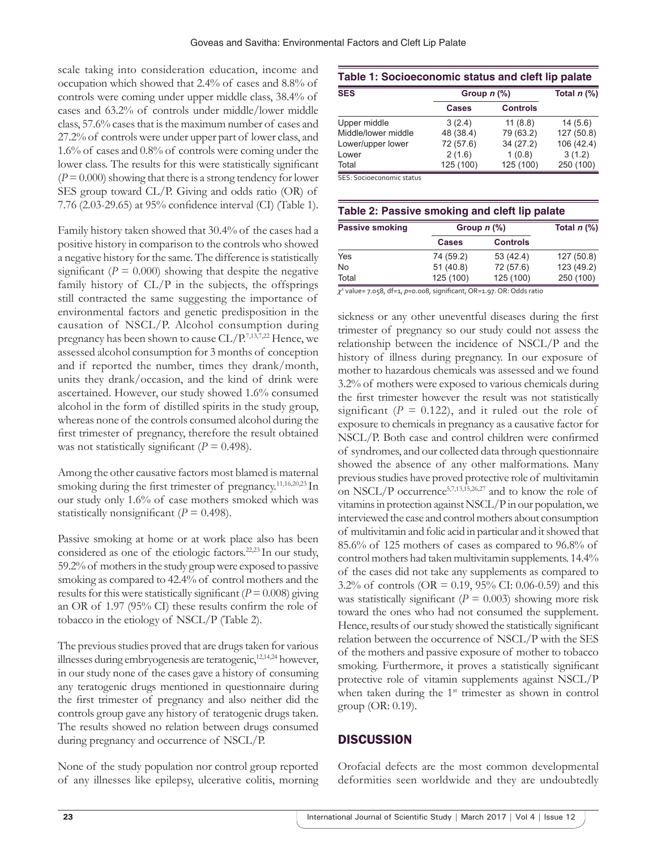scale taking into consideration education, income and occupation which showed that 2.4% of cases and 8.8% of controls were coming under upper middle class, 38.4% of cases and 63.2% of controls under middle/lower middle class, 57.6% cases that is the maximum number of cases and 27.2% of controls were under upper part of lower class, and 1.6% of cases and 0.8% of controls were coming under the lower class. The results for this were statistically significant  $(P = 0.000)$  showing that there is a strong tendency for lower SES group toward CL/P. Giving and odds ratio (OR) of 7.76 (2.03-29.65) at 95% confidence interval (CI) (Table 1).

Family history taken showed that 30.4% of the cases had a positive history in comparison to the controls who showed a negative history for the same. The difference is statistically significant ( $P = 0.000$ ) showing that despite the negative family history of  $CL/P$  in the subjects, the offsprings still contracted the same suggesting the importance of environmental factors and genetic predisposition in the causation of NSCL/P. Alcohol consumption during pregnancy has been shown to cause CL/P.7,13,7,22 Hence, we assessed alcohol consumption for 3 months of conception and if reported the number, times they drank/month, units they drank/occasion, and the kind of drink were ascertained. However, our study showed 1.6% consumed alcohol in the form of distilled spirits in the study group, whereas none of the controls consumed alcohol during the first trimester of pregnancy, therefore the result obtained was not statistically significant  $(P = 0.498)$ .

Among the other causative factors most blamed is maternal smoking during the first trimester of pregnancy.11,16,20,23 In our study only 1.6% of case mothers smoked which was statistically nonsignificant ( $P = 0.498$ ).

Passive smoking at home or at work place also has been considered as one of the etiologic factors.<sup>22,23</sup> In our study, 59.2% of mothers in the study group were exposed to passive smoking as compared to 42.4% of control mothers and the results for this were statistically significant ( $P=0.008$ ) giving an OR of 1.97 (95% CI) these results confirm the role of tobacco in the etiology of NSCL/P (Table 2).

The previous studies proved that are drugs taken for various illnesses during embryogenesis are teratogenic,<sup>12,14,24</sup> however, in our study none of the cases gave a history of consuming any teratogenic drugs mentioned in questionnaire during the first trimester of pregnancy and also neither did the controls group gave any history of teratogenic drugs taken. The results showed no relation between drugs consumed during pregnancy and occurrence of NSCL/P.

None of the study population nor control group reported of any illnesses like epilepsy, ulcerative colitis, morning

| Table 1: Socioeconomic status and cleft lip palate |               |                 |               |  |
|----------------------------------------------------|---------------|-----------------|---------------|--|
| <b>SES</b>                                         | Group $n$ (%) |                 | Total $n$ (%) |  |
|                                                    | Cases         | <b>Controls</b> |               |  |
| Upper middle                                       | 3(2.4)        | 11(8.8)         | 14(5.6)       |  |
| Middle/lower middle                                | 48 (38.4)     | 79 (63.2)       | 127(50.8)     |  |
| Lower/upper lower                                  | 72 (57.6)     | 34(27.2)        | 106 (42.4)    |  |
| Lower                                              | 2(1.6)        | 1(0.8)          | 3(1.2)        |  |
| Total                                              | 125 (100)     | 125 (100)       | 250 (100)     |  |

SES: Socioeconomic status

|                        | Table 2: Passive smoking and cleft lip palate |               |
|------------------------|-----------------------------------------------|---------------|
| <b>Passive smoking</b> | Group $n$ $\left(\% \right)$                  | Total $n$ (%) |

|                                | <b>Cases</b>                          | <b>Controls</b>                           |            |
|--------------------------------|---------------------------------------|-------------------------------------------|------------|
| Yes                            | 74 (59.2)                             | 53 (42.4)                                 | 127(50.8)  |
| No                             | 51(40.8)                              | 72 (57.6)                                 | 123 (49.2) |
| Total                          | 125 (100)                             | 125 (100)                                 | 250 (100)  |
| $\sim$ $\sim$<br>$\sim$ $\sim$ | $\sim$ $\sim$<br>$\sim$ $\sim$ $\sim$ | $\sim$ $\sim$ $\sim$ $\sim$ $\sim$ $\sim$ |            |

*χ*2 value= 7.058, df=1, *p*=0.008, significant, OR=1.97. OR: Odds ratio

sickness or any other uneventful diseases during the first trimester of pregnancy so our study could not assess the relationship between the incidence of NSCL/P and the history of illness during pregnancy. In our exposure of mother to hazardous chemicals was assessed and we found 3.2% of mothers were exposed to various chemicals during the first trimester however the result was not statistically significant  $(P = 0.122)$ , and it ruled out the role of exposure to chemicals in pregnancy as a causative factor for NSCL/P. Both case and control children were confirmed of syndromes, and our collected data through questionnaire showed the absence of any other malformations. Many previous studies have proved protective role of multivitamin on NSCL/P occurrence5,7,13,15,26,27 and to know the role of vitamins in protection against NSCL/P in our population, we interviewed the case and control mothers about consumption of multivitamin and folic acid in particular and it showed that 85.6% of 125 mothers of cases as compared to 96.8% of control mothers had taken multivitamin supplements. 14.4% of the cases did not take any supplements as compared to 3.2% of controls (OR = 0.19, 95% CI: 0.06-0.59) and this was statistically significant ( $P = 0.003$ ) showing more risk toward the ones who had not consumed the supplement. Hence, results of our study showed the statistically significant relation between the occurrence of NSCL/P with the SES of the mothers and passive exposure of mother to tobacco smoking. Furthermore, it proves a statistically significant protective role of vitamin supplements against NSCL/P when taken during the 1<sup>st</sup> trimester as shown in control group (OR: 0.19).

## **DISCUSSION**

Orofacial defects are the most common developmental deformities seen worldwide and they are undoubtedly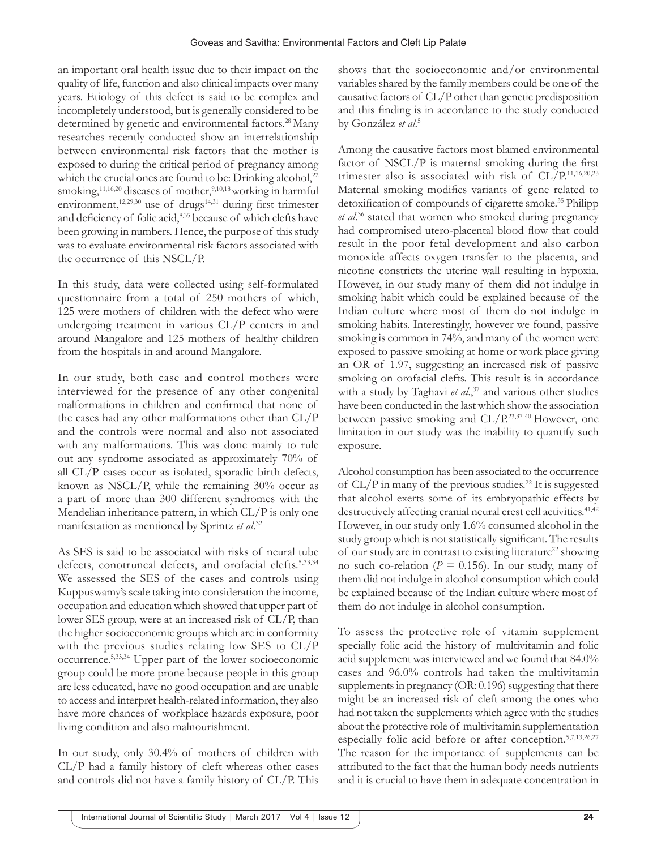an important oral health issue due to their impact on the quality of life, function and also clinical impacts over many years. Etiology of this defect is said to be complex and incompletely understood, but is generally considered to be determined by genetic and environmental factors.<sup>28</sup> Many researches recently conducted show an interrelationship between environmental risk factors that the mother is exposed to during the critical period of pregnancy among which the crucial ones are found to be: Drinking alcohol, $^{22}$ smoking,<sup>11,16,20</sup> diseases of mother,<sup>9,10,18</sup> working in harmful environment, $12,29,30$  use of drugs $14,31$  during first trimester and deficiency of folic acid,<sup>8,35</sup> because of which clefts have been growing in numbers. Hence, the purpose of this study was to evaluate environmental risk factors associated with the occurrence of this NSCL/P.

In this study, data were collected using self-formulated questionnaire from a total of 250 mothers of which, 125 were mothers of children with the defect who were undergoing treatment in various CL/P centers in and around Mangalore and 125 mothers of healthy children from the hospitals in and around Mangalore.

In our study, both case and control mothers were interviewed for the presence of any other congenital malformations in children and confirmed that none of the cases had any other malformations other than CL/P and the controls were normal and also not associated with any malformations. This was done mainly to rule out any syndrome associated as approximately 70% of all CL/P cases occur as isolated, sporadic birth defects, known as NSCL/P, while the remaining 30% occur as a part of more than 300 different syndromes with the Mendelian inheritance pattern, in which CL/P is only one manifestation as mentioned by Sprintz *et al*. 32

As SES is said to be associated with risks of neural tube defects, conotruncal defects, and orofacial clefts.<sup>5,33,34</sup> We assessed the SES of the cases and controls using Kuppuswamy's scale taking into consideration the income, occupation and education which showed that upper part of lower SES group, were at an increased risk of CL/P, than the higher socioeconomic groups which are in conformity with the previous studies relating low SES to CL/P occurrence.5,33,34 Upper part of the lower socioeconomic group could be more prone because people in this group are less educated, have no good occupation and are unable to access and interpret health-related information, they also have more chances of workplace hazards exposure, poor living condition and also malnourishment.

In our study, only 30.4% of mothers of children with CL/P had a family history of cleft whereas other cases and controls did not have a family history of CL/P. This shows that the socioeconomic and/or environmental variables shared by the family members could be one of the causative factors of CL/P other than genetic predisposition and this finding is in accordance to the study conducted by González *et al*. 5

Among the causative factors most blamed environmental factor of NSCL/P is maternal smoking during the first trimester also is associated with risk of CL/P.11,16,20,23 Maternal smoking modifies variants of gene related to detoxification of compounds of cigarette smoke.<sup>35</sup> Philipp *et al*. 36 stated that women who smoked during pregnancy had compromised utero-placental blood flow that could result in the poor fetal development and also carbon monoxide affects oxygen transfer to the placenta, and nicotine constricts the uterine wall resulting in hypoxia. However, in our study many of them did not indulge in smoking habit which could be explained because of the Indian culture where most of them do not indulge in smoking habits. Interestingly, however we found, passive smoking is common in 74%, and many of the women were exposed to passive smoking at home or work place giving an OR of 1.97, suggesting an increased risk of passive smoking on orofacial clefts. This result is in accordance with a study by Taghavi *et al.*,<sup>37</sup> and various other studies have been conducted in the last which show the association between passive smoking and CL/P.23,37-40 However, one limitation in our study was the inability to quantify such exposure.

Alcohol consumption has been associated to the occurrence of  $CL/P$  in many of the previous studies.<sup>22</sup> It is suggested that alcohol exerts some of its embryopathic effects by destructively affecting cranial neural crest cell activities.<sup>41,42</sup> However, in our study only 1.6% consumed alcohol in the study group which is not statistically significant. The results of our study are in contrast to existing literature<sup>22</sup> showing no such co-relation ( $P = 0.156$ ). In our study, many of them did not indulge in alcohol consumption which could be explained because of the Indian culture where most of them do not indulge in alcohol consumption.

To assess the protective role of vitamin supplement specially folic acid the history of multivitamin and folic acid supplement was interviewed and we found that 84.0% cases and 96.0% controls had taken the multivitamin supplements in pregnancy (OR: 0.196) suggesting that there might be an increased risk of cleft among the ones who had not taken the supplements which agree with the studies about the protective role of multivitamin supplementation especially folic acid before or after conception.5,7,13,26,27 The reason for the importance of supplements can be attributed to the fact that the human body needs nutrients and it is crucial to have them in adequate concentration in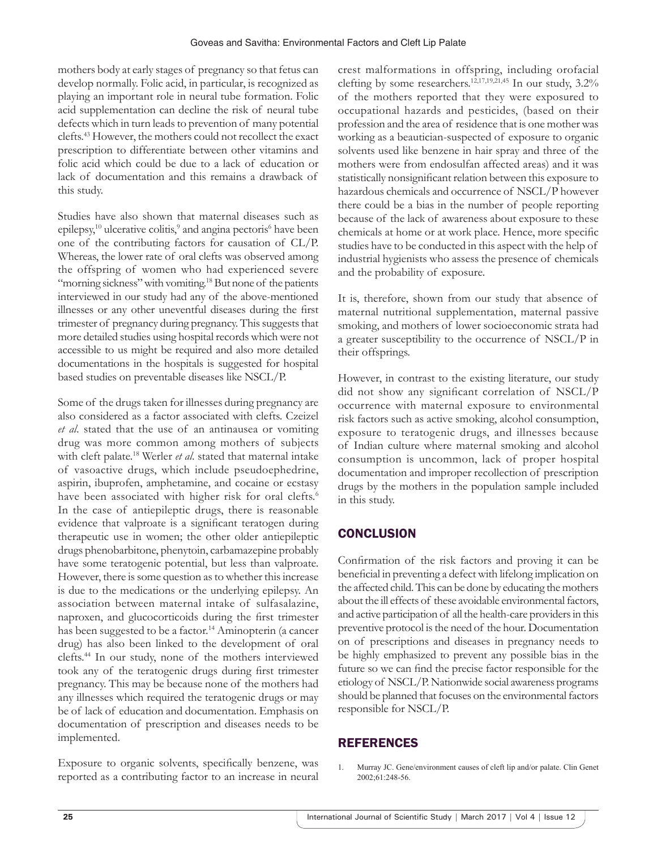mothers body at early stages of pregnancy so that fetus can develop normally. Folic acid, in particular, is recognized as playing an important role in neural tube formation. Folic acid supplementation can decline the risk of neural tube defects which in turn leads to prevention of many potential clefts.43 However, the mothers could not recollect the exact prescription to differentiate between other vitamins and folic acid which could be due to a lack of education or lack of documentation and this remains a drawback of this study.

Studies have also shown that maternal diseases such as epilepsy,<sup>10</sup> ulcerative colitis,<sup>9</sup> and angina pectoris<sup>6</sup> have been one of the contributing factors for causation of CL/P. Whereas, the lower rate of oral clefts was observed among the offspring of women who had experienced severe "morning sickness" with vomiting.<sup>18</sup> But none of the patients interviewed in our study had any of the above-mentioned illnesses or any other uneventful diseases during the first trimester of pregnancy during pregnancy. This suggests that more detailed studies using hospital records which were not accessible to us might be required and also more detailed documentations in the hospitals is suggested for hospital based studies on preventable diseases like NSCL/P.

Some of the drugs taken for illnesses during pregnancy are also considered as a factor associated with clefts. Czeizel *et al*. stated that the use of an antinausea or vomiting drug was more common among mothers of subjects with cleft palate.18 Werler *et al*. stated that maternal intake of vasoactive drugs, which include pseudoephedrine, aspirin, ibuprofen, amphetamine, and cocaine or ecstasy have been associated with higher risk for oral clefts.<sup>6</sup> In the case of antiepileptic drugs, there is reasonable evidence that valproate is a significant teratogen during therapeutic use in women; the other older antiepileptic drugs phenobarbitone, phenytoin, carbamazepine probably have some teratogenic potential, but less than valproate. However, there is some question as to whether this increase is due to the medications or the underlying epilepsy. An association between maternal intake of sulfasalazine, naproxen, and glucocorticoids during the first trimester has been suggested to be a factor.<sup>14</sup> Aminopterin (a cancer drug) has also been linked to the development of oral clefts.44 In our study, none of the mothers interviewed took any of the teratogenic drugs during first trimester pregnancy. This may be because none of the mothers had any illnesses which required the teratogenic drugs or may be of lack of education and documentation. Emphasis on documentation of prescription and diseases needs to be implemented.

Exposure to organic solvents, specifically benzene, was reported as a contributing factor to an increase in neural crest malformations in offspring, including orofacial clefting by some researchers.<sup>12,17,19,21,45</sup> In our study,  $3.2\%$ of the mothers reported that they were exposured to occupational hazards and pesticides, (based on their profession and the area of residence that is one mother was working as a beautician-suspected of exposure to organic solvents used like benzene in hair spray and three of the mothers were from endosulfan affected areas) and it was statistically nonsignificant relation between this exposure to hazardous chemicals and occurrence of NSCL/P however there could be a bias in the number of people reporting because of the lack of awareness about exposure to these chemicals at home or at work place. Hence, more specific studies have to be conducted in this aspect with the help of industrial hygienists who assess the presence of chemicals and the probability of exposure.

It is, therefore, shown from our study that absence of maternal nutritional supplementation, maternal passive smoking, and mothers of lower socioeconomic strata had a greater susceptibility to the occurrence of NSCL/P in their offsprings.

However, in contrast to the existing literature, our study did not show any significant correlation of NSCL/P occurrence with maternal exposure to environmental risk factors such as active smoking, alcohol consumption, exposure to teratogenic drugs, and illnesses because of Indian culture where maternal smoking and alcohol consumption is uncommon, lack of proper hospital documentation and improper recollection of prescription drugs by the mothers in the population sample included in this study.

# **CONCLUSION**

Confirmation of the risk factors and proving it can be beneficial in preventing a defect with lifelong implication on the affected child. This can be done by educating the mothers about the ill effects of these avoidable environmental factors, and active participation of all the health-care providers in this preventive protocol is the need of the hour. Documentation on of prescriptions and diseases in pregnancy needs to be highly emphasized to prevent any possible bias in the future so we can find the precise factor responsible for the etiology of NSCL/P. Nationwide social awareness programs should be planned that focuses on the environmental factors responsible for NSCL/P.

# **REFERENCES**

1. Murray JC. Gene/environment causes of cleft lip and/or palate. Clin Genet 2002;61:248-56.